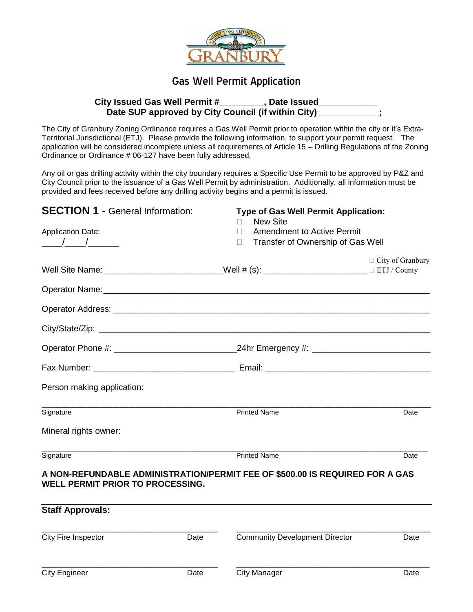

### Gas Well Permit Application

#### **City Issued Gas Well Permit #\_\_\_\_\_\_\_\_\_, Date Issued\_\_\_\_\_\_\_\_\_\_\_\_** Date SUP approved by City Council (if within City) \_\_\_\_\_\_\_\_\_\_;

The City of Granbury Zoning Ordinance requires a Gas Well Permit prior to operation within the city or it's Extra-Territorial Jurisdictional (ETJ). Please provide the following information, to support your permit request. The application will be considered incomplete unless all requirements of Article 15 – Drilling Regulations of the Zoning Ordinance or Ordinance # 06-127 have been fully addressed.

Any oil or gas drilling activity within the city boundary requires a Specific Use Permit to be approved by P&Z and City Council prior to the issuance of a Gas Well Permit by administration. Additionally, all information must be provided and fees received before any drilling activity begins and a permit is issued.

| <b>SECTION 1 - General Information:</b>                                                                                 | <b>Type of Gas Well Permit Application:</b><br><b>New Site</b> |                         |  |
|-------------------------------------------------------------------------------------------------------------------------|----------------------------------------------------------------|-------------------------|--|
| <b>Application Date:</b>                                                                                                | Amendment to Active Permit<br>$\mathbf{L}$                     |                         |  |
| $\frac{1}{\sqrt{2}}$                                                                                                    | Transfer of Ownership of Gas Well<br>П.                        |                         |  |
|                                                                                                                         |                                                                | $\Box$ City of Granbury |  |
|                                                                                                                         |                                                                |                         |  |
|                                                                                                                         |                                                                |                         |  |
|                                                                                                                         |                                                                |                         |  |
|                                                                                                                         |                                                                |                         |  |
|                                                                                                                         |                                                                |                         |  |
| Person making application:                                                                                              |                                                                |                         |  |
| the control of the control of the control of the control of the control of the control of<br>Signature                  | <b>Printed Name</b>                                            | Date                    |  |
| Mineral rights owner:                                                                                                   |                                                                |                         |  |
| Signature                                                                                                               | <b>Printed Name</b>                                            | Date                    |  |
| A NON-REFUNDABLE ADMINISTRATION/PERMIT FEE OF \$500.00 IS REQUIRED FOR A GAS<br><b>WELL PERMIT PRIOR TO PROCESSING.</b> |                                                                |                         |  |
| <b>Staff Approvals:</b>                                                                                                 |                                                                |                         |  |

| City Fire Inspector  | Date | <b>Community Development Director</b> | Date |
|----------------------|------|---------------------------------------|------|
| <b>City Engineer</b> | Date | <b>City Manager</b>                   | Date |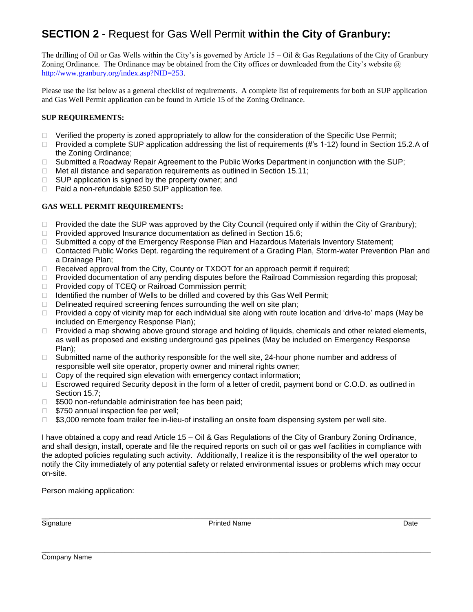# **SECTION 2** - Request for Gas Well Permit **within the City of Granbury:**

The drilling of Oil or Gas Wells within the City's is governed by Article  $15 - Oil$  & Gas Regulations of the City of Granbury Zoning Ordinance. The Ordinance may be obtained from the City offices or downloaded from the City's website @ [http://www.granbury.org/index.asp?NID=253.](http://www.granbury.org/index.asp?NID=253)

Please use the list below as a general checklist of requirements. A complete list of requirements for both an SUP application and Gas Well Permit application can be found in Article 15 of the Zoning Ordinance.

#### **SUP REQUIREMENTS:**

- $\Box$  Verified the property is zoned appropriately to allow for the consideration of the Specific Use Permit;
- □ Provided a complete SUP application addressing the list of requirements (#'s 1-12) found in Section 15.2.A of the Zoning Ordinance;
- □ Submitted a Roadway Repair Agreement to the Public Works Department in conjunction with the SUP;
- $\Box$  Met all distance and separation requirements as outlined in Section 15.11;
- $\Box$  SUP application is signed by the property owner; and
- □ Paid a non-refundable \$250 SUP application fee.

#### **GAS WELL PERMIT REQUIREMENTS:**

- $\Box$  Provided the date the SUP was approved by the City Council (required only if within the City of Granbury);
- $\Box$  Provided approved Insurance documentation as defined in Section 15.6;
- □ Submitted a copy of the Emergency Response Plan and Hazardous Materials Inventory Statement;
- □ Contacted Public Works Dept. regarding the requirement of a Grading Plan, Storm-water Prevention Plan and a Drainage Plan;
- $\Box$  Received approval from the City, County or TXDOT for an approach permit if required;
- $\Box$  Provided documentation of any pending disputes before the Railroad Commission regarding this proposal;
- □ Provided copy of TCEQ or Railroad Commission permit;
- $\Box$  Identified the number of Wells to be drilled and covered by this Gas Well Permit;
- $\Box$  Delineated required screening fences surrounding the well on site plan;
- □ Provided a copy of vicinity map for each individual site along with route location and 'drive-to' maps (May be included on Emergency Response Plan);
- □ Provided a map showing above ground storage and holding of liquids, chemicals and other related elements, as well as proposed and existing underground gas pipelines (May be included on Emergency Response Plan);
- $\Box$  Submitted name of the authority responsible for the well site, 24-hour phone number and address of responsible well site operator, property owner and mineral rights owner;
- $\Box$  Copy of the required sign elevation with emergency contact information;
- □ Escrowed required Security deposit in the form of a letter of credit, payment bond or C.O.D. as outlined in Section 15.7;
- $\Box$  \$500 non-refundable administration fee has been paid;
- $\Box$  \$750 annual inspection fee per well;
- $\Box$  \$3,000 remote foam trailer fee in-lieu-of installing an onsite foam dispensing system per well site.

I have obtained a copy and read Article 15 – Oil & Gas Regulations of the City of Granbury Zoning Ordinance, and shall design, install, operate and file the required reports on such oil or gas well facilities in compliance with the adopted policies regulating such activity. Additionally, I realize it is the responsibility of the well operator to notify the City immediately of any potential safety or related environmental issues or problems which may occur on-site.

Person making application:

\_\_\_\_\_\_\_\_\_\_\_\_\_\_\_\_\_\_\_\_\_\_\_\_\_\_\_\_\_\_\_\_\_\_\_\_\_\_\_\_\_\_\_\_\_\_\_\_\_\_\_\_\_\_\_\_\_\_\_\_\_\_\_\_\_\_\_\_\_\_\_\_\_\_\_\_\_\_\_\_\_\_\_\_\_\_\_\_\_\_\_\_\_\_\_\_\_\_\_\_\_\_\_\_\_\_\_\_\_\_\_\_\_ Signature **Printed Name** Printed Name **Printed Name** Printed Name **Date** 

\_\_\_\_\_\_\_\_\_\_\_\_\_\_\_\_\_\_\_\_\_\_\_\_\_\_\_\_\_\_\_\_\_\_\_\_\_\_\_\_\_\_\_\_\_\_\_\_\_\_\_\_\_\_\_\_\_\_\_\_\_\_\_\_\_\_\_\_\_\_\_\_\_\_\_\_\_\_\_\_\_\_\_\_\_\_\_\_\_\_\_\_\_\_\_\_\_\_\_\_\_\_\_\_\_\_\_\_\_\_\_\_\_

Company Name